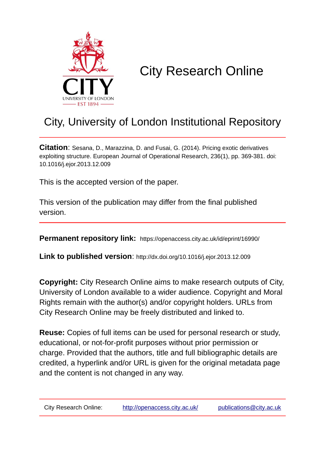

# City Research Online

# City, University of London Institutional Repository

**Citation**: Sesana, D., Marazzina, D. and Fusai, G. (2014). Pricing exotic derivatives exploiting structure. European Journal of Operational Research, 236(1), pp. 369-381. doi: 10.1016/j.ejor.2013.12.009

This is the accepted version of the paper.

This version of the publication may differ from the final published version.

**Permanent repository link:** https://openaccess.city.ac.uk/id/eprint/16990/

**Link to published version**: http://dx.doi.org/10.1016/j.ejor.2013.12.009

**Copyright:** City Research Online aims to make research outputs of City, University of London available to a wider audience. Copyright and Moral Rights remain with the author(s) and/or copyright holders. URLs from City Research Online may be freely distributed and linked to.

**Reuse:** Copies of full items can be used for personal research or study, educational, or not-for-profit purposes without prior permission or charge. Provided that the authors, title and full bibliographic details are credited, a hyperlink and/or URL is given for the original metadata page and the content is not changed in any way.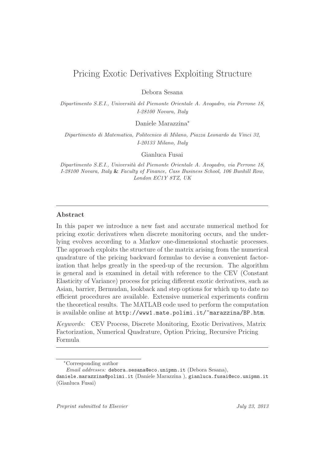Debora Sesana

*Dipartimento S.E.I., Universit`a del Piemonte Orientale A. Avogadro, via Perrone 18, I-28100 Novara, Italy*

Daniele Marazzina<sup>∗</sup>

*Dipartimento di Matematica, Politecnico di Milano, Piazza Leonardo da Vinci 32, I-20133 Milano, Italy*

Gianluca Fusai

*Dipartimento S.E.I., Universit`a del Piemonte Orientale A. Avogadro, via Perrone 18, I-28100 Novara, Italy* & *Faculty of Finance, Cass Business School, 106 Bunhill Row, London EC1Y 8TZ, UK*

#### Abstract

In this paper we introduce a new fast and accurate numerical method for pricing exotic derivatives when discrete monitoring occurs, and the underlying evolves according to a Markov one-dimensional stochastic processes. The approach exploits the structure of the matrix arising from the numerical quadrature of the pricing backward formulas to devise a convenient factorization that helps greatly in the speed-up of the recursion. The algorithm is general and is examined in detail with reference to the CEV (Constant Elasticity of Variance) process for pricing different exotic derivatives, such as Asian, barrier, Bermudan, lookback and step options for which up to date no efficient procedures are available. Extensive numerical experiments confirm the theoretical results. The MATLAB code used to perform the computation is available online at http://www1.mate.polimi.it/~marazzina/BP.htm.

*Keywords:* CEV Process, Discrete Monitoring, Exotic Derivatives, Matrix Factorization, Numerical Quadrature, Option Pricing, Recursive Pricing Formula

*Email addresses:* debora.sesana@eco.unipmn.it (Debora Sesana),

<sup>∗</sup>Corresponding author

daniele.marazzina@polimi.it (Daniele Marazzina ), gianluca.fusai@eco.unipmn.it (Gianluca Fusai)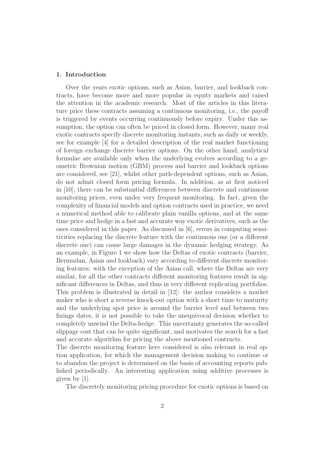#### 1. Introduction

Over the years exotic options, such as Asian, barrier, and lookback contracts, have become more and more popular in equity markets and raised the attention in the academic research. Most of the articles in this literature price these contracts assuming a continuous monitoring, i.e., the payoff is triggered by events occurring continuously before expiry. Under this assumption, the option can often be priced in closed form. However, many real exotic contracts specify discrete monitoring instants, such as daily or weekly, see for example [4] for a detailed description of the real market functioning of foreign exchange discrete barrier options. On the other hand, analytical formulae are available only when the underlying evolves according to a geometric Brownian motion (GBM) process and barrier and lookback options are considered, see [21], whilst other path-dependent options, such as Asian, do not admit closed form pricing formula. In addition, as at first noticed in [10], there can be substantial differences between discrete and continuous monitoring prices, even under very frequent monitoring. In fact, given the complexity of financial models and option contracts used in practice, we need a numerical method able to calibrate plain vanilla options, and at the same time price and hedge in a fast and accurate way exotic derivatives, such as the ones considered in this paper. As discussed in [6], errors in computing sensitivities replacing the discrete feature with the continuous one (or a different discrete one) can cause large damages in the dynamic hedging strategy. As an example, in Figure 1 we show how the Deltas of exotic contracts (barrier, Bermudan, Asian and lookback) vary according to different discrete monitoring features: with the exception of the Asian call, where the Deltas are very similar, for all the other contracts different monitoring features result in significant differences in Deltas, and thus in very different replicating portfolios. This problem is illustrated in detail in [12]: the author considers a market maker who is short a reverse knock-out option with a short time to maturity and the underlying spot price is around the barrier level and between two fixings dates, it is not possible to take the unequivocal decision whether to completely unwind the Delta-hedge. This uncertainty generates the so-called slippage cost that can be quite significant, and motivates the search for a fast and accurate algorithm for pricing the above mentioned contracts.

The discrete monitoring feature here considered is also relevant in real option application, for which the management decision making to continue or to abandon the project is determined on the basis of accounting reports published periodically. An interesting application using additive processes is given by [1].

The discretely monitoring pricing procedure for exotic options is based on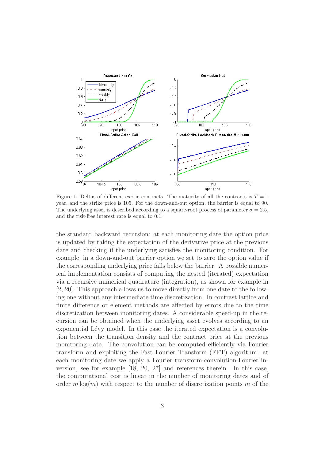

Figure 1: Deltas of different exotic contracts. The maturity of all the contracts is  $T = 1$ year, and the strike price is 105. For the down-and-out option, the barrier is equal to 90. The underlying asset is described according to a square-root process of parameter  $\sigma = 2.5$ , and the risk-free interest rate is equal to 0.1.

the standard backward recursion: at each monitoring date the option price is updated by taking the expectation of the derivative price at the previous date and checking if the underlying satisfies the monitoring condition. For example, in a down-and-out barrier option we set to zero the option value if the corresponding underlying price falls below the barrier. A possible numerical implementation consists of computing the nested (iterated) expectation via a recursive numerical quadrature (integration), as shown for example in [2, 20]. This approach allows us to move directly from one date to the following one without any intermediate time discretization. In contrast lattice and finite difference or element methods are affected by errors due to the time discretization between monitoring dates. A considerable speed-up in the recursion can be obtained when the underlying asset evolves according to an exponential Lévy model. In this case the iterated expectation is a convolution between the transition density and the contract price at the previous monitoring date. The convolution can be computed efficiently via Fourier transform and exploiting the Fast Fourier Transform (FFT) algorithm: at each monitoring date we apply a Fourier transform-convolution-Fourier inversion, see for example [18, 20, 27] and references therein. In this case, the computational cost is linear in the number of monitoring dates and of order  $m \log(m)$  with respect to the number of discretization points m of the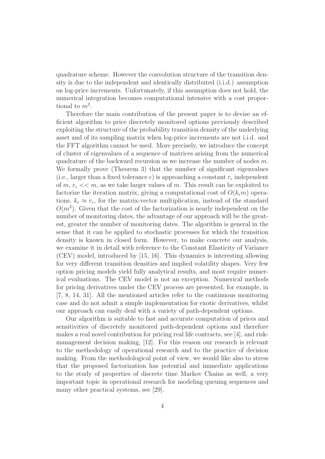quadrature scheme. However the convolution structure of the transition density is due to the independent and identically distributed (i.i.d.) assumption on log-price increments. Unfortunately, if this assumption does not hold, the numerical integration becomes computational intensive with a cost proportional to  $m^2$ .

Therefore the main contribution of the present paper is to devise an efficient algorithm to price discretely monitored options previously described exploiting the structure of the probability transition density of the underlying asset and of its sampling matrix when log-price increments are not i.i.d. and the FFT algorithm cannot be used. More precisely, we introduce the concept of cluster of eigenvalues of a sequence of matrices arising from the numerical quadrature of the backward recursion as we increase the number of nodes m. We formally prove (Theorem 3) that the number of significant eigenvalues (i.e., larger than a fixed tolerance  $\epsilon$ ) is approaching a constant  $r_{\epsilon}$  independent of m,  $r_{\epsilon} \ll m$ , as we take larger values of m. This result can be exploited to factorize the iteration matrix, giving a computational cost of  $O(k_{\epsilon}m)$  operations,  $k_{\epsilon} \approx r_{\epsilon}$ , for the matrix-vector multiplication, instead of the standard  $O(m^2)$ . Given that the cost of the factorization is nearly independent on the number of monitoring dates, the advantage of our approach will be the greatest, greater the number of monitoring dates. The algorithm is general in the sense that it can be applied to stochastic processes for which the transition density is known in closed form. However, to make concrete our analysis, we examine it in detail with reference to the Constant Elasticity of Variance (CEV) model, introduced by [15, 16]. This dynamics is interesting allowing for very different transition densities and implied volatility shapes. Very few option pricing models yield fully analytical results, and most require numerical evaluations. The CEV model is not an exception. Numerical methods for pricing derivatives under the CEV process are presented, for example, in [7, 8, 14, 31]. All the mentioned articles refer to the continuous monitoring case and do not admit a simple implementation for exotic derivatives, whilst our approach can easily deal with a variety of path-dependent options.

Our algorithm is suitable to fast and accurate computation of prices and sensitivities of discretely monitored path-dependent options and therefore makes a real novel contribution for pricing real life contracts, see [4], and riskmanagement decision making, [12]. For this reason our research is relevant to the methodology of operational research and to the practice of decision making. From the methodological point of view, we would like also to stress that the proposed factorization has potential and immediate applications to the study of properties of discrete time Markov Chains as well, a very important topic in operational research for modeling queuing sequences and many other practical systems, see [29].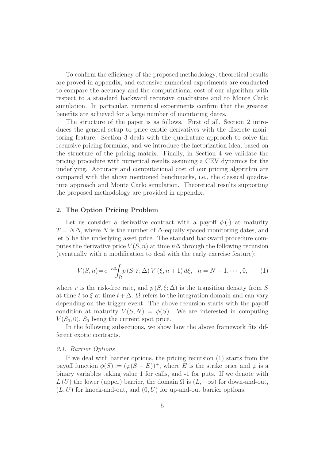To confirm the efficiency of the proposed methodology, theoretical results are proved in appendix, and extensive numerical experiments are conducted to compare the accuracy and the computational cost of our algorithm with respect to a standard backward recursive quadrature and to Monte Carlo simulation. In particular, numerical experiments confirm that the greatest benefits are achieved for a large number of monitoring dates.

The structure of the paper is as follows. First of all, Section 2 introduces the general setup to price exotic derivatives with the discrete monitoring feature. Section 3 deals with the quadrature approach to solve the recursive pricing formulas, and we introduce the factorization idea, based on the structure of the pricing matrix. Finally, in Section 4 we validate the pricing procedure with numerical results assuming a CEV dynamics for the underlying. Accuracy and computational cost of our pricing algorithm are compared with the above mentioned benchmarks, i.e., the classical quadrature approach and Monte Carlo simulation. Theoretical results supporting the proposed methodology are provided in appendix.

#### 2. The Option Pricing Problem

Let us consider a derivative contract with a payoff  $\phi(\cdot)$  at maturity  $T = N\Delta$ , where N is the number of  $\Delta$ -equally spaced monitoring dates, and let S be the underlying asset price. The standard backward procedure computes the derivative price  $V(S, n)$  at time  $n\Delta$  through the following recursion (eventually with a modification to deal with the early exercise feature):

$$
V(S, n) = e^{-r\Delta} \int_{\Omega} p(S, \xi; \Delta) V(\xi, n+1) d\xi, \quad n = N - 1, \cdots, 0,
$$
 (1)

where r is the risk-free rate, and  $p(S,\xi;\Delta)$  is the transition density from S at time t to  $\xi$  at time  $t + \Delta$ .  $\Omega$  refers to the integration domain and can vary depending on the trigger event. The above recursion starts with the payoff condition at maturity  $V(S, N) = \phi(S)$ . We are interested in computing  $V(S_0, 0)$ ,  $S_0$  being the current spot price.

In the following subsections, we show how the above framework fits different exotic contracts.

#### *2.1. Barrier Options*

If we deal with barrier options, the pricing recursion (1) starts from the payoff function  $\phi(S) := (\varphi(S - E))^+$ , where E is the strike price and  $\varphi$  is a binary variables taking value 1 for calls, and -1 for puts. If we denote with  $L(U)$  the lower (upper) barrier, the domain  $\Omega$  is  $(L, +\infty)$  for down-and-out,  $(L, U)$  for knock-and-out, and  $(0, U)$  for up-and-out barrier options.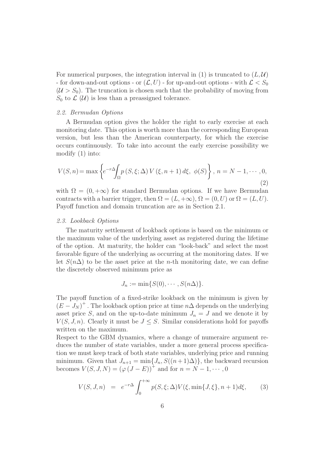For numerical purposes, the integration interval in (1) is truncated to  $(L, \mathcal{U})$ - for down-and-out options - or  $(\mathcal{L}, U)$  - for up-and-out options - with  $\mathcal{L} < S_0$  $(U > S_0)$ . The truncation is chosen such that the probability of moving from  $S_0$  to  $\mathcal{L}(\mathcal{U})$  is less than a preassigned tolerance.

#### *2.2. Bermudan Options*

A Bermudan option gives the holder the right to early exercise at each monitoring date. This option is worth more than the corresponding European version, but less than the American counterparty, for which the exercise occurs continuously. To take into account the early exercise possibility we modify (1) into:

$$
V(S,n) = \max\left\{e^{-r\Delta} \int_{\Omega} p(S,\xi;\Delta) V(\xi,n+1) d\xi, \phi(S)\right\}, n = N-1, \cdots, 0,
$$
\n(2)

with  $\Omega = (0, +\infty)$  for standard Bermudan options. If we have Bermudan contracts with a barrier trigger, then  $\Omega = (L, +\infty)$ ,  $\Omega = (0, U)$  or  $\Omega = (L, U)$ . Payoff function and domain truncation are as in Section 2.1.

#### *2.3. Lookback Options*

The maturity settlement of lookback options is based on the minimum or the maximum value of the underlying asset as registered during the lifetime of the option. At maturity, the holder can "look-back" and select the most favorable figure of the underlying as occurring at the monitoring dates. If we let  $S(n\Delta)$  to be the asset price at the *n*-th monitoring date, we can define the discretely observed minimum price as

$$
J_n := \min\{S(0), \cdots, S(n\Delta)\}.
$$

The payoff function of a fixed-strike lookback on the minimum is given by  $(E - J_N)^+$ . The lookback option price at time  $n\Delta$  depends on the underlying asset price S, and on the up-to-date minimum  $J_n = J$  and we denote it by  $V(S, J, n)$ . Clearly it must be  $J \leq S$ . Similar considerations hold for payoffs written on the maximum.

Respect to the GBM dynamics, where a change of numeraire argument reduces the number of state variables, under a more general process specification we must keep track of both state variables, underlying price and running minimum. Given that  $J_{n+1} = \min\{J_n, S((n+1)\Delta)\}\)$ , the backward recursion becomes  $V(S, J, N) = (\varphi(J - E))^+$  and for  $n = N - 1, \dots, 0$ 

$$
V(S, J, n) = e^{-r\Delta} \int_0^{+\infty} p(S, \xi; \Delta) V(\xi, \min\{J, \xi\}, n+1) d\xi,
$$
 (3)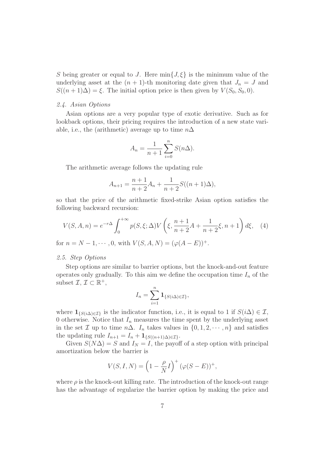S being greater or equal to J. Here  $\min\{J,\xi\}$  is the minimum value of the underlying asset at the  $(n + 1)$ -th monitoring date given that  $J_n = J$  and  $S((n+1)\Delta) = \xi$ . The initial option price is then given by  $V(S_0, S_0, 0)$ .

#### *2.4. Asian Options*

Asian options are a very popular type of exotic derivative. Such as for lookback options, their pricing requires the introduction of a new state variable, i.e., the (arithmetic) average up to time  $n\Delta$ 

$$
A_n = \frac{1}{n+1} \sum_{i=0}^{n} S(n\Delta).
$$

The arithmetic average follows the updating rule

$$
A_{n+1} = \frac{n+1}{n+2}A_n + \frac{1}{n+2}S((n+1)\Delta),
$$

so that the price of the arithmetic fixed-strike Asian option satisfies the following backward recursion:

$$
V(S, A, n) = e^{-r\Delta} \int_0^{+\infty} p(S, \xi; \Delta) V\left(\xi, \frac{n+1}{n+2}A + \frac{1}{n+2}\xi, n+1\right) d\xi, \quad (4)
$$

for  $n = N - 1, \dots, 0$ , with  $V(S, A, N) = (\varphi(A - E))^+$ .

#### *2.5. Step Options*

Step options are similar to barrier options, but the knock-and-out feature operates only gradually. To this aim we define the occupation time  $I_n$  of the subset  $\mathcal{I}, \mathcal{I} \subset \mathbb{R}^+,$ 

$$
I_n = \sum_{i=1}^n \mathbf{1}_{\{S(i\Delta) \in \mathcal{I}\}},
$$

where  $1_{\{S(i\Delta)\in\mathcal{I}\}}$  is the indicator function, i.e., it is equal to 1 if  $S(i\Delta)\in\mathcal{I}$ , 0 otherwise. Notice that  $I_n$  measures the time spent by the underlying asset in the set  $\mathcal I$  up to time  $n\Delta$ .  $I_n$  takes values in  $\{0, 1, 2, \cdots, n\}$  and satisfies the updating rule  $I_{n+1} = I_n + \mathbf{1}_{\{S((n+1)\Delta) \in \mathcal{I}\}}.$ 

Given  $S(N\Delta) = S$  and  $I_N = I$ , the payoff of a step option with principal amortization below the barrier is

$$
V(S, I, N) = \left(1 - \frac{\rho}{N}I\right)^{+} \left(\varphi(S - E)\right)^{+},
$$

where  $\rho$  is the knock-out killing rate. The introduction of the knock-out range has the advantage of regularize the barrier option by making the price and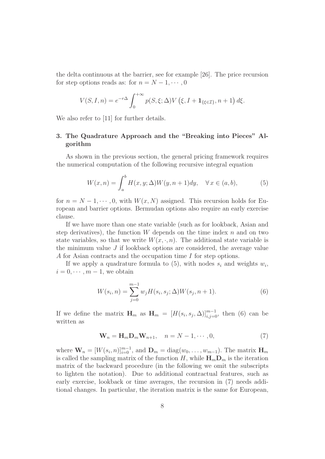the delta continuous at the barrier, see for example [26]. The price recursion for step options reads as: for  $n = N - 1, \dots, 0$ 

$$
V(S, I, n) = e^{-r\Delta} \int_0^{+\infty} p(S, \xi; \Delta) V(\xi, I + \mathbf{1}_{\{\xi \in \mathcal{I}\}}, n+1) d\xi.
$$

We also refer to [11] for further details.

# 3. The Quadrature Approach and the "Breaking into Pieces" Algorithm

As shown in the previous section, the general pricing framework requires the numerical computation of the following recursive integral equation

$$
W(x,n) = \int_{a}^{b} H(x,y;\Delta)W(y,n+1)dy, \quad \forall x \in (a,b),
$$
 (5)

for  $n = N - 1, \dots, 0$ , with  $W(x, N)$  assigned. This recursion holds for European and barrier options. Bermudan options also require an early exercise clause.

If we have more than one state variable (such as for lookback, Asian and step derivatives), the function  $W$  depends on the time index  $n$  and on two state variables, so that we write  $W(x, \cdot, n)$ . The additional state variable is the minimum value  $J$  if lookback options are considered, the average value A for Asian contracts and the occupation time I for step options.

If we apply a quadrature formula to  $(5)$ , with nodes  $s_i$  and weights  $w_i$ ,  $i = 0, \dots, m-1$ , we obtain

$$
W(s_i, n) = \sum_{j=0}^{m-1} w_j H(s_i, s_j; \Delta) W(s_j, n+1).
$$
 (6)

If we define the matrix  $\mathbf{H}_m$  as  $\mathbf{H}_m = [H(s_i, s_j, \Delta)]_{i,j=0}^{m-1}$ , then (6) can be written as

$$
\mathbf{W}_n = \mathbf{H}_m \mathbf{D}_m \mathbf{W}_{n+1}, \quad n = N - 1, \cdots, 0,
$$
\n<sup>(7)</sup>

where  $\mathbf{W}_n = [W(s_i, n)]_{i=0}^{m-1}$ , and  $\mathbf{D}_m = \text{diag}(w_0, \dots, w_{m-1})$ . The matrix  $\mathbf{H}_m$ is called the sampling matrix of the function  $H$ , while  $\mathbf{H}_m \mathbf{D}_m$  is the iteration matrix of the backward procedure (in the following we omit the subscripts to lighten the notation). Due to additional contractual features, such as early exercise, lookback or time averages, the recursion in (7) needs additional changes. In particular, the iteration matrix is the same for European,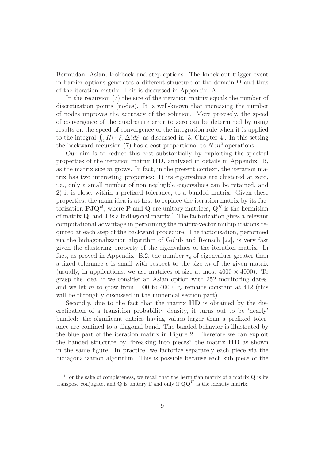Bermudan, Asian, lookback and step options. The knock-out trigger event in barrier options generates a different structure of the domain  $\Omega$  and thus of the iteration matrix. This is discussed in Appendix A.

In the recursion (7) the size of the iteration matrix equals the number of discretization points (nodes). It is well-known that increasing the number of nodes improves the accuracy of the solution. More precisely, the speed of convergence of the quadrature error to zero can be determined by using results on the speed of convergence of the integration rule when it is applied to the integral  $\int_{\Omega} H(\cdot, \xi; \Delta) d\xi$ , as discussed in [3, Chapter 4]. In this setting the backward recursion (7) has a cost proportional to  $N m^2$  operations.

Our aim is to reduce this cost substantially by exploiting the spectral properties of the iteration matrix HD, analyzed in details in Appendix B, as the matrix size  $m$  grows. In fact, in the present context, the iteration matrix has two interesting properties: 1) its eigenvalues are clustered at zero, i.e., only a small number of non negligible eigenvalues can be retained, and 2) it is close, within a prefixed tolerance, to a banded matrix. Given these properties, the main idea is at first to replace the iteration matrix by its factorization  $\mathbf{P} \mathbf{J} \mathbf{Q}^H$ , where **P** and **Q** are unitary matrices,  $\mathbf{Q}^H$  is the hermitian of matrix  $\mathbf Q$ , and  $\mathbf J$  is a bidiagonal matrix.<sup>1</sup> The factorization gives a relevant computational advantage in performing the matrix-vector multiplications required at each step of the backward procedure. The factorization, performed via the bidiagonalization algorithm of Golub and Reinsch [22], is very fast given the clustering property of the eigenvalues of the iteration matrix. In fact, as proved in Appendix B.2, the number  $r_{\epsilon}$  of eigenvalues greater than a fixed tolerance  $\epsilon$  is small with respect to the size m of the given matrix (usually, in applications, we use matrices of size at most  $4000 \times 4000$ ). To grasp the idea, if we consider an Asian option with 252 monitoring dates, and we let m to grow from 1000 to 4000,  $r_{\epsilon}$  remains constant at 412 (this will be throughly discussed in the numerical section part).

Secondly, due to the fact that the matrix HD is obtained by the discretization of a transition probability density, it turns out to be 'nearly' banded: the significant entries having values larger than a prefixed tolerance are confined to a diagonal band. The banded behavior is illustrated by the blue part of the iteration matrix in Figure 2. Therefore we can exploit the banded structure by "breaking into pieces" the matrix HD as shown in the same figure. In practice, we factorize separately each piece via the bidiagonalization algorithm. This is possible because each sub piece of the

<sup>&</sup>lt;sup>1</sup>For the sake of completeness, we recall that the hermitian matrix of a matrix  $\mathbf{Q}$  is its transpose conjugate, and **Q** is unitary if and only if  $\mathbf{Q}\mathbf{Q}^H$  is the identity matrix.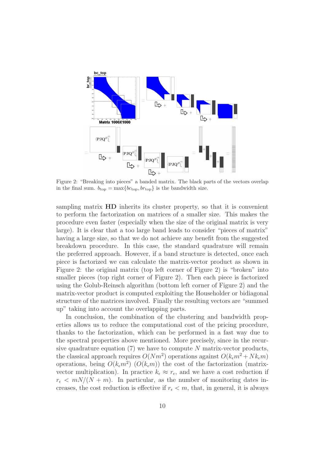

Figure 2: "Breaking into pieces" a banded matrix. The black parts of the vectors overlap in the final sum.  $b_{\text{top}} = \max\{bc_{\text{top}}, br_{\text{top}}\}$  is the bandwidth size.

sampling matrix HD inherits its cluster property, so that it is convenient to perform the factorization on matrices of a smaller size. This makes the procedure even faster (especially when the size of the original matrix is very large). It is clear that a too large band leads to consider "pieces of matrix" having a large size, so that we do not achieve any benefit from the suggested breakdown procedure. In this case, the standard quadrature will remain the preferred approach. However, if a band structure is detected, once each piece is factorized we can calculate the matrix-vector product as shown in Figure 2: the original matrix (top left corner of Figure 2) is "broken" into smaller pieces (top right corner of Figure 2). Then each piece is factorized using the Golub-Reinsch algorithm (bottom left corner of Figure 2) and the matrix-vector product is computed exploiting the Householder or bidiagonal structure of the matrices involved. Finally the resulting vectors are "summed up" taking into account the overlapping parts.

In conclusion, the combination of the clustering and bandwidth properties allows us to reduce the computational cost of the pricing procedure, thanks to the factorization, which can be performed in a fast way due to the spectral properties above mentioned. More precisely, since in the recursive quadrature equation  $(7)$  we have to compute N matrix-vector products, the classical approach requires  $O(Nm^2)$  operations against  $O(k_{\epsilon}m^2 + Nk_{\epsilon}m)$ operations, being  $O(k_{\epsilon}m^2)$   $(O(k_{\epsilon}m))$  the cost of the factorization (matrixvector multiplication). In practice  $k_{\epsilon} \approx r_{\epsilon}$ , and we have a cost reduction if  $r_{\epsilon} < mN/(N+m)$ . In particular, as the number of monitoring dates increases, the cost reduction is effective if  $r_{\epsilon} < m$ , that, in general, it is always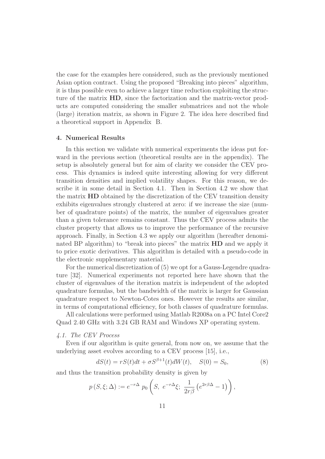the case for the examples here considered, such as the previously mentioned Asian option contract. Using the proposed "Breaking into pieces" algorithm, it is thus possible even to achieve a larger time reduction exploiting the structure of the matrix HD, since the factorization and the matrix-vector products are computed considering the smaller submatrices and not the whole (large) iteration matrix, as shown in Figure 2. The idea here described find a theoretical support in Appendix B.

#### 4. Numerical Results

In this section we validate with numerical experiments the ideas put forward in the previous section (theoretical results are in the appendix). The setup is absolutely general but for aim of clarity we consider the CEV process. This dynamics is indeed quite interesting allowing for very different transition densities and implied volatility shapes. For this reason, we describe it in some detail in Section 4.1. Then in Section 4.2 we show that the matrix HD obtained by the discretization of the CEV transition density exhibits eigenvalues strongly clustered at zero: if we increase the size (number of quadrature points) of the matrix, the number of eigenvalues greater than a given tolerance remains constant. Thus the CEV process admits the cluster property that allows us to improve the performance of the recursive approach. Finally, in Section 4.3 we apply our algorithm (hereafter denominated BP algorithm) to "break into pieces" the matrix HD and we apply it to price exotic derivatives. This algorithm is detailed with a pseudo-code in the electronic supplementary material.

For the numerical discretization of (5) we opt for a Gauss-Legendre quadrature [32]. Numerical experiments not reported here have shown that the cluster of eigenvalues of the iteration matrix is independent of the adopted quadrature formulas, but the bandwidth of the matrix is larger for Gaussian quadrature respect to Newton-Cotes ones. However the results are similar, in terms of computational efficiency, for both classes of quadrature formulas.

All calculations were performed using Matlab R2008a on a PC Intel Core2 Quad 2.40 GHz with 3.24 GB RAM and Windows XP operating system.

#### *4.1. The CEV Process*

Even if our algorithm is quite general, from now on, we assume that the underlying asset evolves according to a CEV process [15], i.e.,

$$
dS(t) = rS(t)dt + \sigma S^{\beta+1}(t)dW(t), \quad S(0) = S_0,
$$
\n(8)

and thus the transition probability density is given by

$$
p(S,\xi;\Delta) := e^{-r\Delta} p_0 \left(S, e^{-r\Delta}\xi; \frac{1}{2r\beta} (e^{2r\beta\Delta} - 1)\right),
$$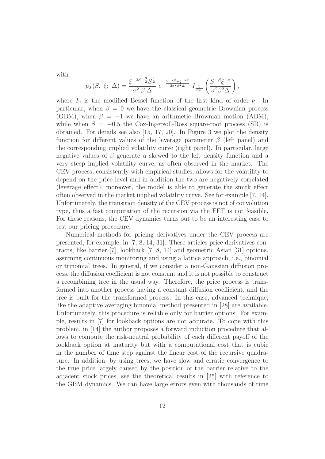with

$$
p_0(S, \xi; \Delta) = \frac{\xi^{-2\beta - \frac{3}{2}} S^{\frac{1}{2}}}{\sigma^2 |\beta| \Delta} e^{-\frac{S^{-2\beta} + \xi^{-2\beta}}{2\sigma^2 \beta^2 \Delta}} I_{\frac{1}{2|\beta|}} \left( \frac{S^{-\beta} \xi^{-\beta}}{\sigma^2 \beta^2 \Delta} \right),
$$

where  $I_{\nu}$  is the modified Bessel function of the first kind of order  $\nu$ . In particular, when  $\beta = 0$  we have the classical geometric Brownian process (GBM), when  $\beta = -1$  we have an arithmetic Brownian motion (ABM), while when  $\beta = -0.5$  the Cox-Ingersoll-Ross square-root process (SR) is obtained. For details see also [15, 17, 20]. In Figure 3 we plot the density function for different values of the leverage parameter  $\beta$  (left panel) and the corresponding implied volatility curve (right panel). In particular, large negative values of  $\beta$  generate a skewed to the left density function and a very steep implied volatility curve, as often observed in the market. The CEV process, consistently with empirical studies, allows for the volatility to depend on the price level and in addition the two are negatively correlated (leverage effect); moreover, the model is able to generate the smirk effect often observed in the market implied volatility curve. See for example [7, 14]. Unfortunately, the transition density of the CEV process is not of convolution type, thus a fast computation of the recursion via the FFT is not feasible. For these reasons, the CEV dynamics turns out to be an interesting case to test our pricing procedure.

Numerical methods for pricing derivatives under the CEV process are presented, for example, in [7, 8, 14, 31]. These articles price derivatives contracts, like barrier [7], lookback [7, 8, 14] and geometric Asian [31] options, assuming continuous monitoring and using a lattice approach, i.e., binomial or trinomial trees. In general, if we consider a non-Gaussian diffusion process, the diffusion coefficient is not constant and it is not possible to construct a recombining tree in the usual way. Therefore, the price process is transformed into another process having a constant diffusion coefficient, and the tree is built for the transformed process. In this case, advanced technique, like the adaptive averaging binomial method presented in [28] are available. Unfortunately, this procedure is reliable only for barrier options. For example, results in [7] for lookback options are not accurate. To cope with this problem, in [14] the author proposes a forward induction procedure that allows to compute the risk-neutral probability of each different payoff of the lookback option at maturity but with a computational cost that is cubic in the number of time step against the linear cost of the recursive quadrature. In addition, by using trees, we have slow and erratic convergence to the true price largely caused by the position of the barrier relative to the adjacent stock prices, see the theoretical results in [25] with reference to the GBM dynamics. We can have large errors even with thousands of time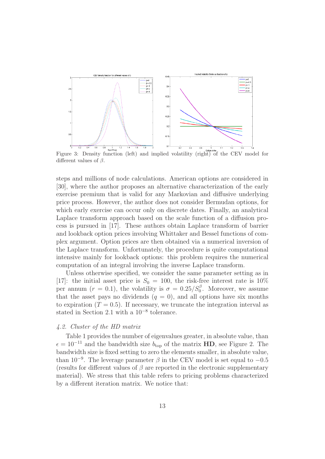

Figure 3: Density function (left) and implied volatility (right) of the CEV model for different values of  $\beta$ .

steps and millions of node calculations. American options are considered in [30], where the author proposes an alternative characterization of the early exercise premium that is valid for any Markovian and diffusive underlying price process. However, the author does not consider Bermudan options, for which early exercise can occur only on discrete dates. Finally, an analytical Laplace transform approach based on the scale function of a diffusion process is pursued in [17]. These authors obtain Laplace transform of barrier and lookback option prices involving Whittaker and Bessel functions of complex argument. Option prices are then obtained via a numerical inversion of the Laplace transform. Unfortunately, the procedure is quite computational intensive mainly for lookback options: this problem requires the numerical computation of an integral involving the inverse Laplace transform.

Unless otherwise specified, we consider the same parameter setting as in [17]: the initial asset price is  $S_0 = 100$ , the risk-free interest rate is 10% per annum  $(r = 0.1)$ , the volatility is  $\sigma = 0.25/S_0^{\beta}$ . Moreover, we assume that the asset pays no dividends  $(q = 0)$ , and all options have six months to expiration  $(T = 0.5)$ . If necessary, we truncate the integration interval as stated in Section 2.1 with a 10<sup>-8</sup> tolerance.

### *4.2. Cluster of the HD matrix*

Table 1 provides the number of eigenvalues greater, in absolute value, than  $\epsilon = 10^{-11}$  and the bandwidth size  $b_{\text{top}}$  of the matrix HD, see Figure 2. The bandwidth size is fixed setting to zero the elements smaller, in absolute value, than  $10^{-9}$ . The leverage parameter  $\beta$  in the CEV model is set equal to  $-0.5$ (results for different values of  $\beta$  are reported in the electronic supplementary material). We stress that this table refers to pricing problems characterized by a different iteration matrix. We notice that: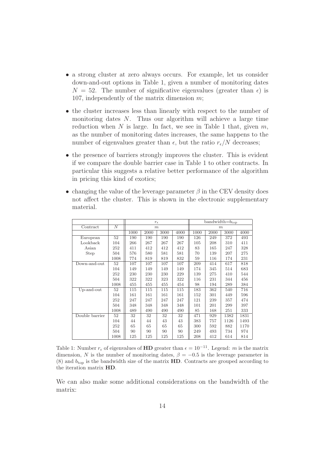- a strong cluster at zero always occurs. For example, let us consider down-and-out options in Table 1, given a number of monitoring dates  $N = 52$ . The number of significative eigenvalues (greater than  $\epsilon$ ) is 107, independently of the matrix dimension  $m$ ;
- the cluster increases less than linearly with respect to the number of monitoring dates N. Thus our algorithm will achieve a large time reduction when N is large. In fact, we see in Table 1 that, given  $m$ , as the number of monitoring dates increases, the same happens to the number of eigenvalues greater than  $\epsilon$ , but the ratio  $r_{\epsilon}/N$  decreases;
- the presence of barriers strongly improves the cluster. This is evident if we compare the double barrier case in Table 1 to other contracts. In particular this suggests a relative better performance of the algorithm in pricing this kind of exotics;
- changing the value of the leverage parameter  $\beta$  in the CEV density does not affect the cluster. This is shown in the electronic supplementary material.

|                |                  | $r_{\epsilon}$ |      |      | bandwidth= $b_{\text{top}}$ |      |      |      |      |
|----------------|------------------|----------------|------|------|-----------------------------|------|------|------|------|
| Contract       | $\boldsymbol{N}$ |                | m    |      |                             |      | m    |      |      |
|                |                  | 1000           | 2000 | 3000 | 4000                        | 1000 | 2000 | 3000 | 4000 |
| European       | 52               | 190            | 190  | 190  | 190                         | 126  | 249  | 372  | 493  |
| Lookback       | 104              | 266            | 267  | 267  | 267                         | 105  | 208  | 310  | 411  |
| Asian          | 252              | 411            | 412  | 412  | 412                         | 83   | 165  | 247  | 328  |
| <b>Step</b>    | 504              | 576            | 580  | 581  | 581                         | 70   | 139  | 207  | 275  |
|                | 1008             | 774            | 819  | 819  | 832                         | 59   | 116  | 174  | 231  |
| Down-and-out   | 52               | 107            | 107  | 107  | 107                         | 209  | 414  | 617  | 818  |
|                | 104              | 149            | 149  | 149  | 149                         | 174  | 345  | 514  | 683  |
|                | 252              | 230            | 230  | 230  | 229                         | 139  | 275  | 410  | 544  |
|                | 504              | 322            | 322  | 323  | 322                         | 116  | 231  | 344  | 456  |
|                | 1008             | 455            | 455  | 455  | 454                         | 98   | 194  | 289  | 384  |
| Up-and-out     | 52               | 115            | 115  | 115  | 115                         | 183  | 362  | 540  | 716  |
|                | 104              | 161            | 161  | 161  | 161                         | 152  | 301  | 449  | 596  |
|                | 252              | 247            | 247  | 247  | 247                         | 121  | 239  | 357  | 474  |
|                | 504              | 348            | 348  | 348  | 348                         | 101  | 201  | 299  | 397  |
|                | 1008             | 489            | 490  | 490  | 490                         | 85   | 168  | 251  | 333  |
| Double barrier | 52               | 32             | 32   | 32   | 32                          | 471  | 929  | 1382 | 1831 |
|                | 104              | 44             | 44   | 43   | 43                          | 383  | 757  | 1126 | 1493 |
|                | 252              | 65             | 65   | 65   | 65                          | 300  | 592  | 882  | 1170 |
|                | 504              | 90             | 90   | 90   | 90                          | 249  | 493  | 734  | 974  |
|                | 1008             | 125            | 125  | 125  | 125                         | 208  | 412  | 614  | 814  |

Table 1: Number  $r_{\epsilon}$  of eigenvalues of **HD** greater than  $\epsilon = 10^{-11}$ . Legend: m is the matrix dimension, N is the number of monitoring dates,  $\beta = -0.5$  is the leverage parameter in  $(8)$  and  $b_{\text{top}}$  is the bandwidth size of the matrix **HD**. Contracts are grouped according to the iteration matrix HD.

We can also make some additional considerations on the bandwidth of the matrix: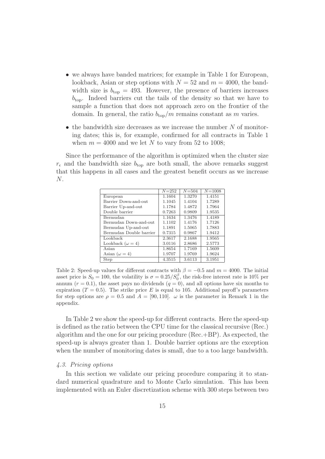- we always have banded matrices; for example in Table 1 for European, lookback, Asian or step options with  $N = 52$  and  $m = 4000$ , the bandwidth size is  $b_{\text{top}} = 493$ . However, the presence of barriers increases  $b_{\text{top}}$ . Indeed barriers cut the tails of the density so that we have to sample a function that does not approach zero on the frontier of the domain. In general, the ratio  $b_{\text{top}}/m$  remains constant as m varies.
- $\bullet$  the bandwidth size decreases as we increase the number N of monitoring dates; this is, for example, confirmed for all contracts in Table 1 when  $m = 4000$  and we let N to vary from 52 to 1008;

Since the performance of the algorithm is optimized when the cluster size  $r_{\epsilon}$  and the bandwidth size  $b_{\text{top}}$  are both small, the above remarks suggest that this happens in all cases and the greatest benefit occurs as we increase N.

|                         | $N = 252$ | $N = 504$ | $N = 1008$ |
|-------------------------|-----------|-----------|------------|
| European                | 1.1604    | 1.3270    | 1.4151     |
| Barrier Down-and-out    | 1.1045    | 1.4104    | 1.7289     |
| Barrier Up-and-out      | 1.1784    | 1.4872    | 1.7964     |
| Double barrier          | 0.7263    | 0.9809    | 1.9535     |
| Bermudan                | 1.1634    | 1.3476    | 1.4189     |
| Bermudan Down-and-out   | 1.1102    | 1.4176    | 1.7126     |
| Bermudan Up-and-out     | 1.1891    | 1.5065    | 1.7883     |
| Bermudan Double barrier | 0.7315    | 0.9867    | 1.9412     |
| Lookback                | 2.3617    | 2.1688    | 1.9565     |
| Lookback $(\omega = 4)$ | 3.0116    | 2.8686    | 2.5773     |
| Asian                   | 1.8654    | 1.7169    | 1.5609     |
| Asian $(\omega = 4)$    | 1.9707    | 1.9769    | 1.9624     |
| <b>Step</b>             | 4.3515    | 3.6113    | 3.1951     |

Table 2: Speed-up values for different contracts with  $\beta = -0.5$  and  $m = 4000$ . The initial asset price is  $S_0 = 100$ , the volatility is  $\sigma = 0.25/S_0^{\beta}$ , the risk-free interest rate is 10% per annum  $(r = 0.1)$ , the asset pays no dividends  $(q = 0)$ , and all options have six months to expiration ( $T = 0.5$ ). The strike price E is equal to 105. Additional payoff's parameters for step options are  $\rho = 0.5$  and  $A = [90, 110]$ .  $\omega$  is the parameter in Remark 1 in the appendix.

In Table 2 we show the speed-up for different contracts. Here the speed-up is defined as the ratio between the CPU time for the classical recursive (Rec.) algorithm and the one for our pricing procedure (Rec.+BP). As expected, the speed-up is always greater than 1. Double barrier options are the exception when the number of monitoring dates is small, due to a too large bandwidth.

#### *4.3. Pricing options*

In this section we validate our pricing procedure comparing it to standard numerical quadrature and to Monte Carlo simulation. This has been implemented with an Euler discretization scheme with 300 steps between two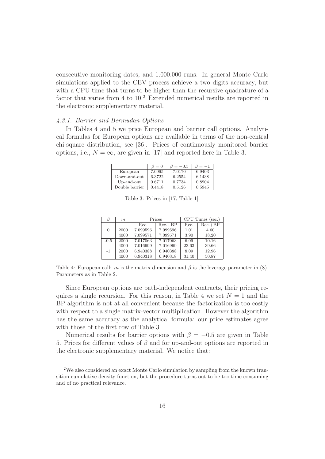consecutive monitoring dates, and 1.000.000 runs. In general Monte Carlo simulations applied to the CEV process achieve a two digits accuracy, but with a CPU time that turns to be higher than the recursive quadrature of a factor that varies from  $4 \text{ to } 10^{2}$  Extended numerical results are reported in the electronic supplementary material.

#### *4.3.1. Barrier and Bermudan Options*

In Tables 4 and 5 we price European and barrier call options. Analytical formulas for European options are available in terms of the non-central chi-square distribution, see [36]. Prices of continuously monitored barrier options, i.e.,  $N = \infty$ , are given in [17] and reported here in Table 3.

|                | $\beta=0$ | $\beta = -0.5$ | $\beta = -1$ |
|----------------|-----------|----------------|--------------|
| European       | 7.0995    | 7.0170         | 6.9403       |
| Down-and-out   | 6.3722    | 6.2554         | 6.1438       |
| $Up$ -and-out  | 0.6711    | 0.7734         | 0.8904       |
| Double barrier | 0.4418    | 0.5126         | 0.5945       |

Table 3: Prices in [17, Table 1].

|          | m    |          | Prices    | CPU Times<br>(sec.) |           |  |
|----------|------|----------|-----------|---------------------|-----------|--|
|          |      | Rec.     | $Rec.+BP$ | Rec.                | $Rec.+BP$ |  |
| $\Omega$ | 2000 | 7.099596 | 7.099596  | 1.01                | 4.60      |  |
|          | 4000 | 7.099571 | 7.099571  | 3.90                | 18.20     |  |
| $-0.5$   | 2000 | 7.017063 | 7.017063  | 6.09                | 10.16     |  |
|          | 4000 | 7.016999 | 7.016999  | 23.63               | 39.66     |  |
| $-1$     | 2000 | 6.940388 | 6.940388  | 8.09                | 12.96     |  |
|          | 4000 | 6.940318 | 6.940318  | 31.40               | 50.87     |  |

Table 4: European call: m is the matrix dimension and  $\beta$  is the leverage parameter in (8). Parameters as in Table 2.

Since European options are path-independent contracts, their pricing requires a single recursion. For this reason, in Table 4 we set  $N = 1$  and the BP algorithm is not at all convenient because the factorization is too costly with respect to a single matrix-vector multiplication. However the algorithm has the same accuracy as the analytical formula: our price estimates agree with those of the first row of Table 3.

Numerical results for barrier options with  $\beta = -0.5$  are given in Table 5. Prices for different values of  $\beta$  and for up-and-out options are reported in the electronic supplementary material. We notice that:

<sup>2</sup>We also considered an exact Monte Carlo simulation by sampling from the known transition cumulative density function, but the procedure turns out to be too time consuming and of no practical relevance.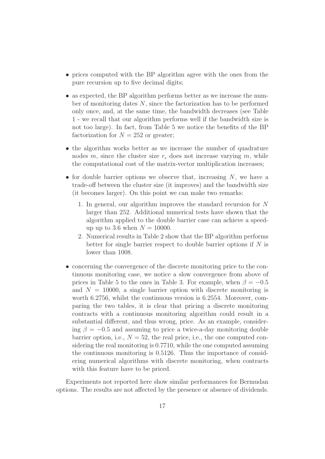- prices computed with the BP algorithm agree with the ones from the pure recursion up to five decimal digits;
- as expected, the BP algorithm performs better as we increase the number of monitoring dates  $N$ , since the factorization has to be performed only once, and, at the same time, the bandwidth decreases (see Table 1 - we recall that our algorithm performs well if the bandwidth size is not too large). In fact, from Table 5 we notice the benefits of the BP factorization for  $N = 252$  or greater;
- the algorithm works better as we increase the number of quadrature nodes m, since the cluster size  $r_{\epsilon}$  does not increase varying m, while the computational cost of the matrix-vector multiplication increases;
- for double barrier options we observe that, increasing  $N$ , we have a trade-off between the cluster size (it improves) and the bandwidth size (it becomes larger). On this point we can make two remarks:
	- 1. In general, our algorithm improves the standard recursion for N larger than 252. Additional numerical tests have shown that the algorithm applied to the double barrier case can achieve a speedup up to 3.6 when  $N = 10000$ .
	- 2. Numerical results in Table 2 show that the BP algorithm performs better for single barrier respect to double barrier options if  $N$  is lower than 1008.
- concerning the convergence of the discrete monitoring price to the continuous monitoring case, we notice a slow convergence from above of prices in Table 5 to the ones in Table 3. For example, when  $\beta = -0.5$ and  $N = 10000$ , a single barrier option with discrete monitoring is worth 6.2756, whilst the continuous version is 6.2554. Moreover, comparing the two tables, it is clear that pricing a discrete monitoring contracts with a continuous monitoring algorithm could result in a substantial different, and thus wrong, price. As an example, considering  $\beta = -0.5$  and assuming to price a twice-a-day monitoring double barrier option, i.e.,  $N = 52$ , the real price, i.e., the one computed considering the real monitoring is 0.7710, while the one computed assuming the continuous monitoring is 0.5126. Thus the importance of considering numerical algorithms with discrete monitoring, when contracts with this feature have to be priced.

Experiments not reported here show similar performances for Bermudan options. The results are not affected by the presence or absence of dividends.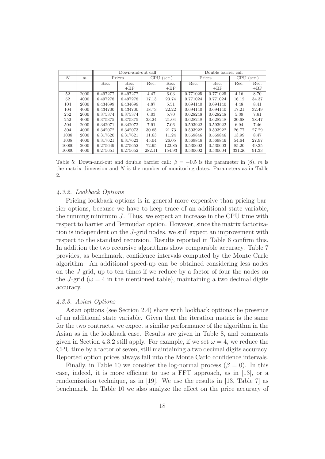|       |      |          | Down-and-out call |        | Double barrier call     |          |          |        |                    |  |
|-------|------|----------|-------------------|--------|-------------------------|----------|----------|--------|--------------------|--|
| N     | m    |          | Prices            |        | <b>CPU</b><br>$(\sec.)$ |          | Prices   |        | <b>CPU</b><br>sec. |  |
|       |      | Rec.     | Rec.              | Rec.   | Rec.                    | Rec.     | Rec.     | Rec.   | Rec.               |  |
|       |      |          | $+BP$             |        | $+BP$                   |          | $+BP$    |        | $+BP$              |  |
| 52    | 2000 | 6.497277 | 6.497277          | 4.47   | 6.03                    | 0.771025 | 0.771025 | 4.16   | 8.70               |  |
| 52    | 4000 | 6.497278 | 6.497278          | 17.13  | 23.74                   | 0.771024 | 0.771024 | 16.12  | 34.37              |  |
| 104   | 2000 | 6.434699 | 6.434699          | 4.87   | 5.51                    | 0.694140 | 0.694140 | 4.48   | 8.41               |  |
| 104   | 4000 | 6.434700 | 6.434700          | 18.73  | 22.22                   | 0.694140 | 0.694140 | 17.21  | 32.49              |  |
| 252   | 2000 | 6.375374 | 6.375374          | 6.03   | 5.70                    | 0.628248 | 0.628248 | 5.39   | 7.61               |  |
| 252   | 4000 | 6.375375 | 6.375375          | 23.24  | 21.04                   | 0.628248 | 0.628248 | 20.68  | 28.47              |  |
| 504   | 2000 | 6.342071 | 6.342072          | 7.91   | 7.06                    | 0.593922 | 0.593922 | 6.94   | 7.46               |  |
| 504   | 4000 | 6.342072 | 6.342073          | 30.65  | 21.73                   | 0.593922 | 0.593922 | 26.77  | 27.29              |  |
| 1008  | 2000 | 6.317620 | 6.317621          | 11.63  | 11.24                   | 0.569846 | 0.569846 | 13.99  | 8.47               |  |
| 1008  | 4000 | 6.317621 | 6.317623          | 45.04  | 26.05                   | 0.569846 | 0.569846 | 54.64  | 27.97              |  |
| 10000 | 2000 | 6.275649 | 6.275652          | 72.95  | 122.85                  | 0.530602 | 0.530603 | 85.20  | 49.35              |  |
| 10000 | 4000 | 6.275651 | 6.275652          | 282.11 | 154.93                  | 0.530602 | 0.530604 | 331.26 | 91.33              |  |

Table 5: Down-and-out and double barrier call:  $\beta = -0.5$  is the parameter in (8), m is the matrix dimension and  $N$  is the number of monitoring dates. Parameters as in Table 2.

#### *4.3.2. Lookback Options*

Pricing lookback options is in general more expensive than pricing barrier options, because we have to keep trace of an additional state variable, the running minimum  $J$ . Thus, we expect an increase in the CPU time with respect to barrier and Bermudan option. However, since the matrix factorization is independent on the J-grid nodes, we still expect an improvement with respect to the standard recursion. Results reported in Table 6 confirm this. In addition the two recursive algorithms show comparable accuracy. Table 7 provides, as benchmark, confidence intervals computed by the Monte Carlo algorithm. An additional speed-up can be obtained considering less nodes on the J-grid, up to ten times if we reduce by a factor of four the nodes on the J-grid ( $\omega = 4$  in the mentioned table), maintaining a two decimal digits accuracy.

#### *4.3.3. Asian Options*

Asian options (see Section 2.4) share with lookback options the presence of an additional state variable. Given that the iteration matrix is the same for the two contracts, we expect a similar performance of the algorithm in the Asian as in the lookback case. Results are given in Table 8, and comments given in Section 4.3.2 still apply. For example, if we set  $\omega = 4$ , we reduce the CPU time by a factor of seven, still maintaining a two decimal digits accuracy. Reported option prices always fall into the Monte Carlo confidence intervals.

Finally, in Table 10 we consider the log-normal process  $(\beta = 0)$ . In this case, indeed, it is more efficient to use a FFT approach, as in [13], or a randomization technique, as in [19]. We use the results in [13, Table 7] as benchmark. In Table 10 we also analyze the effect on the price accuracy of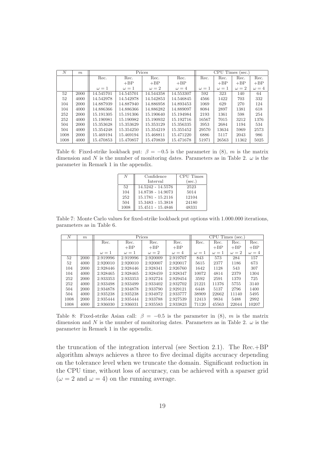| N    | m    |            |            | Prices       |              |              | CPU Times (sec.) |              |              |  |
|------|------|------------|------------|--------------|--------------|--------------|------------------|--------------|--------------|--|
|      |      | Rec.       | Rec.       | Rec.         | Rec.         | Rec.         | Rec.             | Rec.         | Rec.         |  |
|      |      |            | $+BP$      | $+BP$        | $+BP$        |              | $+BP$            | $+BP$        | $+BP$        |  |
|      |      | $\omega=1$ | $\omega=1$ | $\omega = 2$ | $\omega = 4$ | $\omega = 1$ | $\omega = 1$     | $\omega = 2$ | $\omega = 4$ |  |
| 52   | 2000 | 14.545701  | 14.545701  | 14.544358    | 14.553307    | 592          | 323              | 140          | 64           |  |
| 52   | 4000 | 14.542978  | 14.542978  | 14.542853    | 14.546845    | 4566         | 1422             | 703          | 332          |  |
| 104  | 2000 | 14.887939  | 14.887940  | 14.886958    | 14.893453    | 1069         | 629              | 270          | 124          |  |
| 104  | 4000 | 14.886366  | 14.886366  | 14.886282    | 14.889097    | 8084         | 2897             | 1381         | 618          |  |
| 252  | 2000 | 15.191305  | 15.191306  | 15.190640    | 15.194984    | 2193         | 1361             | 598          | 254          |  |
| 252  | 4000 | 15.190981  | 15.190982  | 15.190932    | 15.192716    | 16567        | 7015             | 3212         | 1376         |  |
| 504  | 2000 | 15.353628  | 15.353629  | 15.353129    | 15.356335    | 3953         | 2684             | 1194         | 534          |  |
| 504  | 4000 | 15.354248  | 15.354250  | 15.354219    | 15.355452    | 29570        | 13634            | 5969         | 2573         |  |
| 1008 | 2000 | 15.469194  | 15.469194  | 15.468811    | 15.471220    | 6886         | 5117             | 2043         | 986          |  |
| 1008 | 4000 | 15.470853  | 15.470857  | 15.470839    | 15.471678    | 51971        | 26563            | 11362        | 5025         |  |

Table 6: Fixed-strike lookback put:  $\beta = -0.5$  is the parameter in (8), m is the matrix dimension and N is the number of monitoring dates. Parameters as in Table 2.  $\omega$  is the parameter in Remark 1 in the appendix.

| N    | Confidence        | <b>CPU</b> Times |
|------|-------------------|------------------|
|      | <b>Interval</b>   | $(\sec.)$        |
| 52   | 14.5242 - 14.5576 | 2523             |
| 104  | 14.8738 - 14.9073 | 5014             |
| 252  | 15.1781 - 15.2116 | 12104            |
| 504  | 15.3483 - 15.3818 | 24180            |
| 1008 | 15.4511 - 15.4846 | 48331            |

Table 7: Monte Carlo values for fixed-strike lookback put options with 1.000.000 iterations, parameters as in Table 6.

| N    | m    |              | Prices       |              |              |              | CPU Times (sec.) |              |              |
|------|------|--------------|--------------|--------------|--------------|--------------|------------------|--------------|--------------|
|      |      | Rec.         | Rec.         | Rec.         | Rec.         | Rec.         | Rec.             | Rec.         | Rec.         |
|      |      |              | $+BP$        | $+BP$        | $+BP$        |              | $+BP$            | $+BP$        | $+BP$        |
|      |      | $\omega = 1$ | $\omega = 1$ | $\omega = 2$ | $\omega = 4$ | $\omega = 1$ | $\omega = 1$     | $\omega = 2$ | $\omega = 4$ |
| 52   | 2000 | 2.919996     | 2.919996     | 2.920009     | 2.919707     | 843          | 573              | 284          | 157          |
| 52   | 4000 | 2.920010     | 2.920010     | 2.920007     | 2.920017     | 5615         | 2377             | 1186         | 673          |
| 104  | 2000 | 2.928446     | 2.928446     | 2.928341     | 2.926760     | 1642         | 1128             | 543          | 307          |
| 104  | 4000 | 2.928465     | 2.928465     | 2.928459     | 2.928347     | 10072        | 4814             | 2379         | 1304         |
| 252  | 2000 | 2.933353     | 2.933353     | 2.932724     | 2.929454     | 3592         | 2591             | 1370         | 725          |
| 252  | 4000 | 2.933498     | 2.933499     | 2.933402     | 2.932702     | 21221        | 11376            | 5755         | 3140         |
| 504  | 2000 | 2.934878     | 2.934878     | 2.933790     | 2.929121     | 6448         | 5137             | 2796         | 1400         |
| 504  | 4000 | 2.935238     | 2.935238     | 2.934972     | 2.933777     | 38909        | 22662            | 11140        | 5495         |
| 1008 | 2000 | 2.935444     | 2.935444     | 2.933788     | 2.927539     | 12413        | 9834             | 5488         | 2992         |
| 1008 | 4000 | 2.936030     | 2.936031     | 2.935583     | 2.933823     | 71120        | 45563            | 22044        | 10207        |

Table 8: Fixed-strike Asian call:  $\beta = -0.5$  is the parameter in (8), m is the matrix dimension and N is the number of monitoring dates. Parameters as in Table 2.  $\omega$  is the parameter in Remark 1 in the appendix.

the truncation of the integration interval (see Section 2.1). The Rec.+BP algorithm always achieves a three to five decimal digits accuracy depending on the tolerance level when we truncate the domain. Significant reduction in the CPU time, without loss of accuracy, can be achieved with a sparser grid  $(\omega = 2 \text{ and } \omega = 4)$  on the running average.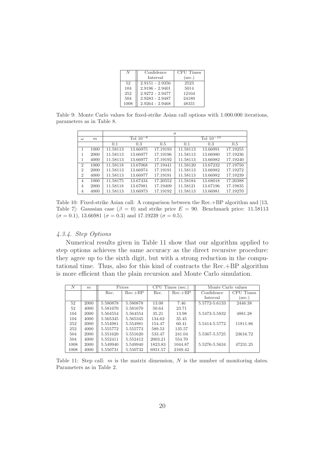| N    | Confidence        | CPU Times |
|------|-------------------|-----------|
|      | <b>Interval</b>   | $(\sec.)$ |
| 52   | $2.9151 - 2.9356$ | 2523      |
| 104  | $2.9196 - 2.9401$ | 5014      |
| 252  | $2.9272 - 2.9477$ | 12104     |
| 504  | $2.9283 - 2.9487$ | 24180     |
| 1008 | 2.9264 - 2.9468   | 48331     |

Table 9: Monte Carlo values for fixed-strike Asian call options with 1.000.000 iterations, parameters as in Table 8.

|                |      |          |               | $\sigma$ |          |                |          |  |
|----------------|------|----------|---------------|----------|----------|----------------|----------|--|
| $\omega$       | m    |          | Tol $10^{-8}$ |          |          | Tol $10^{-10}$ |          |  |
|                |      | 0.1      | 0.3           | 0.5      | 0.1      | 0.3            | 0.5      |  |
| 1              | 1000 | 11.58113 | 13.66975      | 17.19193 | 11.58113 | 13.66991       | 17.19255 |  |
| 1              | 2000 | 11.58113 | 13.66977      | 17.19196 | 11.58113 | 13.66980       | 17.19236 |  |
| 1              | 4000 | 11.58113 | 13.66977      | 17.19192 | 11.58113 | 13.66982       | 17.19240 |  |
| $\overline{2}$ | 1000 | 11.58118 | 13.67068      | 17.19441 | 11.58120 | 13.67232       | 17.19750 |  |
| $\overline{2}$ | 2000 | 11.58113 | 13.66974      | 17.19191 | 11.58113 | 13.66982       | 17.19272 |  |
| $\overline{2}$ | 4000 | 11.58113 | 13.66977      | 17.19191 | 11.58113 | 13.66982       | 17.19239 |  |
| $\overline{4}$ | 1000 | 11.58175 | 13.67434      | 17.20552 | 11.58184 | 13.68018       | 17.20388 |  |
| 4              | 2000 | 11.58118 | 13.67081      | 17.19409 | 11.58121 | 13.67196       | 17.19835 |  |
| 4              | 4000 | 11.58113 | 13.66973      | 17.19192 | 11.58113 | 13.66981       | 17.19270 |  |

Table 10: Fixed-strike Asian call: A comparison between the Rec.+BP algorithm and [13, Table 7: Gaussian case  $(\beta = 0)$  and strike price  $E = 90$ . Benchmark price: 11.58113  $(\sigma = 0.1)$ , 13.66981 ( $\sigma = 0.3$ ) and 17.19239 ( $\sigma = 0.5$ ).

# *4.3.4. Step Options*

Numerical results given in Table 11 show that our algorithm applied to step options achieves the same accuracy as the direct recursive procedure: they agree up to the sixth digit, but with a strong reduction in the computational time. Thus, also for this kind of contracts the Rec.+BP algorithm is more efficient than the plain recursion and Monte Carlo simulation.

| N    | m    |          | Prices    |         | CPU Times (sec.) | Monte Carlo values |           |
|------|------|----------|-----------|---------|------------------|--------------------|-----------|
|      |      | Rec.     | $Rec.+BP$ | Rec.    | $Rec.+BP$        | Confidence         | CPU Times |
|      |      |          |           |         |                  | Interval           | sec.)     |
| 52   | 2000 | 5.580878 | 5.580878  | 13.08   | 7.46             | 5.5772-5.6133      | 2446.38   |
| 52   | 4000 | 5.581670 | 5.581670  | 50.64   | 23.71            |                    |           |
| 104  | 2000 | 5.564554 | 5.564554  | 35.21   | 13.98            | 5.5473-5.5832      | 4881.28   |
| 104  | 4000 | 5.565345 | 5.565345  | 134.63  | 35.45            |                    |           |
| 252  | 2000 | 5.554981 | 5.554981  | 154.47  | 60.41            | 5.5414-5.5772      | 11811.86  |
| 252  | 4000 | 5.555772 | 5.555773  | 589.53  | 135.57           |                    |           |
| 504  | 2000 | 5.551620 | 5.551620  | 533.47  | 241.04           | 5.5367-5.5725      | 23616.72  |
| 504  | 4000 | 5.552411 | 5.552412  | 2003.21 | 554.70           |                    |           |
| 1008 | 2000 | 5.549940 | 5.549940  | 1823.83 | 1044.87          | 5.5276-5.5634      | 47231.25  |
| 1008 | 4000 | 5.550731 | 5.550732  | 6931.57 | 2169.42          |                    |           |

Table 11: Step call:  $m$  is the matrix dimension,  $N$  is the number of monitoring dates. Parameters as in Table 2.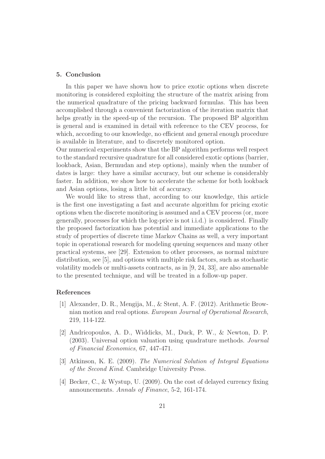#### 5. Conclusion

In this paper we have shown how to price exotic options when discrete monitoring is considered exploiting the structure of the matrix arising from the numerical quadrature of the pricing backward formulas. This has been accomplished through a convenient factorization of the iteration matrix that helps greatly in the speed-up of the recursion. The proposed BP algorithm is general and is examined in detail with reference to the CEV process, for which, according to our knowledge, no efficient and general enough procedure is available in literature, and to discretely monitored option.

Our numerical experiments show that the BP algorithm performs well respect to the standard recursive quadrature for all considered exotic options (barrier, lookback, Asian, Bermudan and step options), mainly when the number of dates is large: they have a similar accuracy, but our scheme is considerably faster. In addition, we show how to accelerate the scheme for both lookback and Asian options, losing a little bit of accuracy.

We would like to stress that, according to our knowledge, this article is the first one investigating a fast and accurate algorithm for pricing exotic options when the discrete monitoring is assumed and a CEV process (or, more generally, processes for which the log-price is not i.i.d.) is considered. Finally the proposed factorization has potential and immediate applications to the study of properties of discrete time Markov Chains as well, a very important topic in operational research for modeling queuing sequences and many other practical systems, see [29]. Extension to other processes, as normal mixture distribution, see [5], and options with multiple risk factors, such as stochastic volatility models or multi-assets contracts, as in [9, 24, 33], are also amenable to the presented technique, and will be treated in a follow-up paper.

#### References

- [1] Alexander, D. R., Mengija, M., & Stent, A. F. (2012). Arithmetic Brownian motion and real options. *European Journal of Operational Research*, 219, 114-122.
- [2] Andricopoulos, A. D., Widdicks, M., Duck, P. W., & Newton, D. P. (2003). Universal option valuation using quadrature methods. *Journal of Financial Economics*, 67, 447-471.
- [3] Atkinson, K. E. (2009). *The Numerical Solution of Integral Equations of the Second Kind*. Cambridge University Press.
- [4] Becker, C., & Wystup, U. (2009). On the cost of delayed currency fixing announcements. *Annals of Finance*, 5-2, 161-174.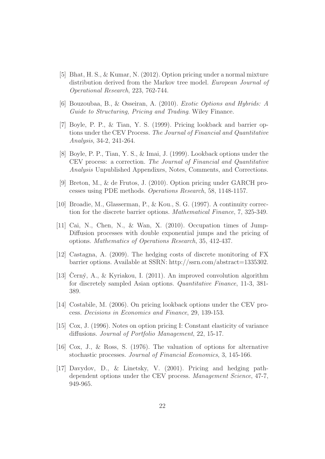- [5] Bhat, H. S., & Kumar, N. (2012). Option pricing under a normal mixture distribution derived from the Markov tree model. *European Journal of Operational Research*, 223, 762-744.
- [6] Bouzoubaa, B., & Osseiran, A. (2010). *Exotic Options and Hybrids: A Guide to Structuring, Pricing and Trading*. Wiley Finance.
- [7] Boyle, P. P., & Tian, Y. S. (1999). Pricing lookback and barrier options under the CEV Process. *The Journal of Financial and Quantitative Analysis*, 34-2, 241-264.
- [8] Boyle, P. P., Tian, Y. S., & Imai, J. (1999). Lookback options under the CEV process: a correction. *The Journal of Financial and Quantitative Analysis* Unpublished Appendixes, Notes, Comments, and Corrections.
- [9] Breton, M., & de Frutos, J. (2010). Option pricing under GARCH processes using PDE methods. *Operations Research*, 58, 1148-1157.
- [10] Broadie, M., Glasserman, P., & Kou., S. G. (1997). A continuity correction for the discrete barrier options. *Mathematical Finance*, 7, 325-349.
- [11] Cai, N., Chen, N., & Wan, X. (2010). Occupation times of Jump-Diffusion processes with double exponential jumps and the pricing of options. *Mathematics of Operations Research*, 35, 412-437.
- [12] Castagna, A. (2009). The hedging costs of discrete monitoring of FX barrier options. Available at SSRN: http://ssrn.com/abstract=1335302.
- [13] Cerný, A., & Kyriakou, I. (2011). An improved convolution algorithm for discretely sampled Asian options. *Quantitative Finance*, 11-3, 381- 389.
- [14] Costabile, M. (2006). On pricing lookback options under the CEV process. *Decisions in Economics and Finance*, 29, 139-153.
- [15] Cox, J. (1996). Notes on option pricing I: Constant elasticity of variance diffusions. *Journal of Portfolio Management*, 22, 15-17.
- [16] Cox, J., & Ross, S. (1976). The valuation of options for alternative stochastic processes. *Journal of Financial Economics*, 3, 145-166.
- [17] Davydov, D., & Linetsky, V. (2001). Pricing and hedging pathdependent options under the CEV process. *Management Science*, 47-7, 949-965.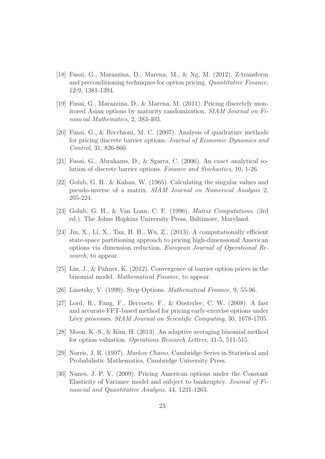- [18] Fusai, G., Marazzina, D., Marena, M., & Ng, M. (2012). Z-transform and preconditioning techniques for option pricing. *Quantitative Finance*, 12-9, 1381-1394.
- [19] Fusai, G., Marazzina, D., & Marena, M. (2011). Pricing discretely monitored Asian options by maturity randomization. *SIAM Journal on Financial Mathematics*, 2, 383-403.
- [20] Fusai, G., & Recchioni, M. C. (2007). Analysis of quadrature methods for pricing discrete barrier options. *Journal of Economic Dynamics and Control*, 31, 826-860.
- [21] Fusai, G., Abrahams, D., & Sgarra, C. (2006). An exact analytical solution of discrete barrier options. *Finance and Stochastics*, 10, 1-26.
- [22] Golub, G. H., & Kahan, W. (1965). Calculating the singular values and pseudo-inverse of a matrix. *SIAM Journal on Numerical Analysis* 2, 205-224.
- [23] Golub, G. H., & Van Loan, C. F. (1996). *Matrix Computations*. (3rd ed.). The Johns Hopkins University Press, Baltimore, Maryland.
- [24] Jin, X., Li, X., Tan, H. H., Wu, Z., (2013). A computationally efficient state-space partitioning approach to pricing high-dimensional American options via dimension reduction. *European Journal of Operational Research*, to appear.
- [25] Lin, J., & Palmer, K. (2012). Convergence of barrier option prices in the binomial model. *Mathematical Finance*, to appear.
- [26] Linetsky, V. (1999). Step Options. *Mathematical Finance*, 9, 55-96.
- [27] Lord, R., Fang, F., Bervoets, F., & Oosterlee, C. W. (2008). A fast and accurate FFT-based method for pricing early-exercise options under L´evy processes. *SIAM Journal on Scientific Computing*, 30, 1678-1705.
- [28] Moon, K.-S., & Kim, H. (2013). An adaptive averaging binomial method for option valuation. *Operations Research Letters*, 41-5, 511-515.
- [29] Norris, J. R. (1997). *Markov Chains*, Cambridge Series in Statistical and Probabilistic Mathematics, Cambridge University Press.
- [30] Nunes, J. P. V. (2009). Pricing American options under the Constant Elasticity of Variance model and subject to bankruptcy. *Journal of Financial and Quantitative Analysis*, 44, 1231-1263.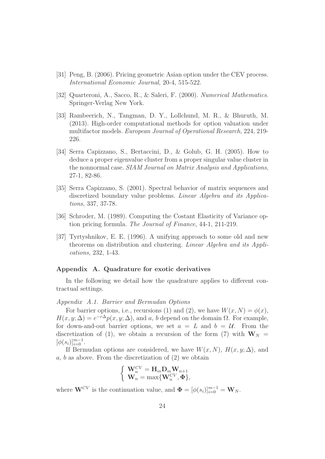- [31] Peng, B. (2006). Pricing geometric Asian option under the CEV process. *International Economic Journal*, 20-4, 515-522.
- [32] Quarteroni, A., Sacco, R., & Saleri, F. (2000). *Numerical Mathematics*. Springer-Verlag New York.
- [33] Rambeerich, N., Tangman, D. Y., Lollchund, M. R., & Bhuruth, M. (2013). High-order computational methods for option valuation under multifactor models. *European Journal of Operational Research*, 224, 219- 226.
- [34] Serra Capizzano, S., Bertaccini, D., & Golub, G. H. (2005). How to deduce a proper eigenvalue cluster from a proper singular value cluster in the nonnormal case. *SIAM Journal on Matrix Analysis and Applications*, 27-1, 82-86.
- [35] Serra Capizzano, S. (2001). Spectral behavior of matrix sequences and discretized boundary value problems. *Linear Algebra and its Applications*, 337, 37-78.
- [36] Schroder, M. (1989). Computing the Costant Elasticity of Variance option pricing formula. *The Journal of Finance*, 44-1, 211-219.
- [37] Tyrtyshnikov, E. E. (1996). A unifying approach to some old and new theorems on distribution and clustering. *Linear Algebra and its Applications*, 232, 1-43.

#### Appendix A. Quadrature for exotic derivatives

In the following we detail how the quadrature applies to different contractual settings.

#### *Appendix A.1. Barrier and Bermudan Options*

For barrier options, i.e., recursions (1) and (2), we have  $W(x, N) = \phi(x)$ ,  $H(x, y; \Delta) = e^{-r\Delta} p(x, y; \Delta)$ , and a, b depend on the domain  $\Omega$ . For example, for down-and-out barrier options, we set  $a = L$  and  $b = U$ . From the discretization of (1), we obtain a recursion of the form (7) with  $W_N =$  $[\phi(s_i)]_{i=0}^{m-1}$ .

If Bermudan options are considered, we have  $W(x, N)$ ,  $H(x, y; \Delta)$ , and a, b as above. From the discretization of  $(2)$  we obtain

$$
\left\{\begin{array}{l} \mathbf{W}^{CV}_n = \mathbf{H}_m \mathbf{D}_m \mathbf{W}_{n+1} \\ \mathbf{W}_n = \max\{ \mathbf{W}^{CV}_n, \pmb{\Phi} \}, \end{array}\right.
$$

where  $\mathbf{W}^{CV}$  is the continuation value, and  $\mathbf{\Phi} = [\phi(s_i)]_{i=0}^{m-1} = \mathbf{W}_N$ .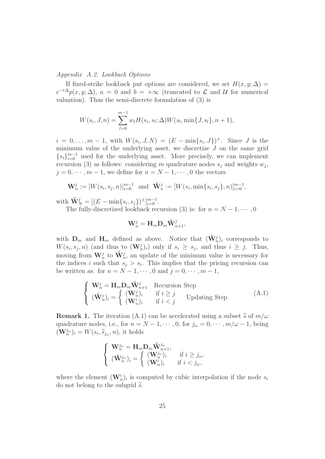#### *Appendix A.2. Lookback Options*

If fixed-strike lookback put options are considered, we set  $H(x, y; \Delta) =$  $e^{-r\Delta}p(x, y; \Delta)$ ,  $a = 0$  and  $b = +\infty$  (truncated to  $\mathcal L$  and  $\mathcal U$  for numerical valuation). Thus the semi-discrete formulation of (3) is

$$
W(s_i, J, n) = \sum_{l=0}^{m-1} w_l H(s_i, s_l; \Delta) W(s_l, \min\{J, s_l\}, n+1),
$$

 $i = 0, ..., m - 1$ , with  $W(s_i, J, N) = (E - \min\{s_i, J\})^+$ . Since J is the minimum value of the underlying asset, we discretize  $J$  on the same grid  ${s_i}_{i=0}^{m-1}$  used for the underlying asset. More precisely, we can implement recursion (3) as follows: considering m quadrature nodes  $s_j$  and weights  $w_j$ ,  $j = 0, \dots, m - 1$ , we define for  $n = N - 1, \dots, 0$  the vectors

$$
\mathbf{W}_n^j := [W(s_i, s_j, n)]_{i=0}^{m-1} \text{ and } \hat{\mathbf{W}}_n^j := [W(s_i, \min\{s_i, s_j\}, n)]_{i=0}^{m-1},
$$

with  $\hat{\mathbf{W}}_N^j = [(E - \min\{s_i, s_j\})^+]_{i=0}^{m-1}$ .

The fully-discretized lookback recursion (3) is: for  $n = N - 1, \dots, 0$ 

$$
\mathbf{W}_n^j = \mathbf{H}_m \mathbf{D}_m \mathbf{\hat{W}}_{n+1}^j,
$$

with  $\mathbf{D}_m$  and  $\mathbf{H}_m$  defined as above. Notice that  $(\hat{\mathbf{W}}_n^j)_i$  corresponds to  $W(s_i, s_j, n)$  (and thus to  $(\mathbf{W}_n^j)_i$ ) only if  $s_i \geq s_j$ , and thus  $i \geq j$ . Thus, moving from  $\mathbf{W}_n^j$  to  $\hat{\mathbf{W}}_n^j$ , an update of the minimum value is necessary for the indices i such that  $s_j > s_i$ . This implies that the pricing recursion can be written as: for  $n = N - 1, \dots, 0$  and  $j = 0, \dots, m - 1$ ,

$$
\begin{cases}\n\mathbf{W}_n^j = \mathbf{H}_m \mathbf{D}_m \hat{\mathbf{W}}_{n+1}^j & \text{Recursion Step} \\
(\hat{\mathbf{W}}_n^j)_i = \begin{cases}\n(\mathbf{W}_n^j)_i & \text{if } i \geq j \\
(\mathbf{W}_n^i)_i & \text{if } i < j\n\end{cases} & \text{Updating Step}\n\end{cases} (A.1)
$$

**Remark 1.** The iteration (A.1) can be accelerated using a subset  $\tilde{s}$  of  $m/\omega$ quadrature nodes, i.e., for  $n = N - 1, \dots, 0$ , for  $j_{\omega} = 0, \dots, m/\omega - 1$ , being  $(\mathbf{W}_n^{j_{\omega}})_i = W(s_i, \widetilde{s}_{j_{\omega}}, n)$ , it holds

$$
\left\{\begin{array}{ll} \mathbf{W}_n^{j_\omega}=\mathbf{H}_m\mathbf{D}_m\hat{\mathbf{W}}_{n+1}^{j_\omega},\\ (\hat{\mathbf{W}}_n^{j_\omega})_i=\left\{\begin{array}{ll} (\mathbf{W}_n^{j_\omega})_i & \text{if } i\geq j_\omega,\\ (\mathbf{W}_n^i)_i & \text{if } i< j_\omega,\end{array}\right.
$$

where the element  $(\mathbf{W}_n^i)_i$  is computed by cubic interpolation if the node  $s_i$ do not belong to the subgrid  $\tilde{s}$ .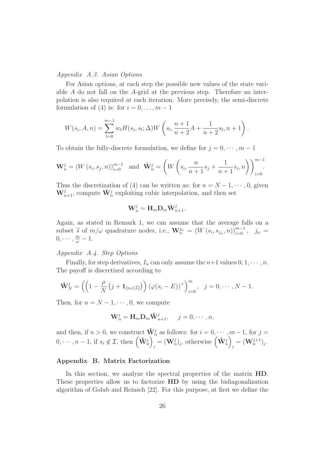#### *Appendix A.3. Asian Options*

For Asian options, at each step the possible new values of the state variable A do not fall on the A-grid at the previous step. Therefore an interpolation is also required at each iteration. More precisely, the semi-discrete formulation of (4) is: for  $i = 0, \ldots, m - 1$ 

$$
W(s_i, A, n) = \sum_{l=0}^{m-1} w_l H(s_i, s_l; \Delta) W\left(s_l, \frac{n+1}{n+2}A + \frac{1}{n+2}s_l, n+1\right).
$$

To obtain the fully-discrete formulation, we define for  $j = 0, \dots, m - 1$ 

$$
\mathbf{W}_n^j = (W(s_i, s_j, n))_{i=0}^{m-1} \text{ and } \hat{\mathbf{W}}_n^j = \left(W\left(s_i, \frac{n}{n+1} s_j + \frac{1}{n+1} s_i, n\right)\right)_{i=0}^{m-1}.
$$

Thus the discretization of (4) can be written as: for  $n = N - 1, \dots, 0$ , given  $\mathbf{W}_{n+1}^j$ , compute  $\hat{\mathbf{W}}_n^j$  exploiting cubic interpolation, and then set

$$
\mathbf{W}_n^j = \mathbf{H}_m \mathbf{D}_m \hat{\mathbf{W}}_{n+1}^j.
$$

Again, as stated in Remark 1, we can assume that the average falls on a subset  $\widetilde{s}$  of  $m/\omega$  quadrature nodes, i.e.,  $\mathbf{W}_n^{j_\omega} = (W(s_i, s_{j_\omega}, n))_{i=0}^{m-1}$ ,  $j_\omega =$  $0, \cdots, \frac{m}{\omega}-1.$ 

# *Appendix A.4. Step Options*

Finally, for step derivatives,  $I_n$  can only assume the  $n+1$  values  $0, 1, \dots, n$ . The payoff is discretized according to

$$
\widehat{\mathbf{W}}_N^j = \left( \left( 1 - \frac{\rho}{N} \left( j + \mathbf{1}_{\{s_i \in \mathcal{I}\}} \right) \right) \left( \varphi(s_i - E) \right)^+ \right)_{i=0}^m, \quad j = 0, \cdots, N-1.
$$

Then, for  $n = N - 1, \dots, 0$ , we compute

$$
\mathbf{W}_n^j = \mathbf{H}_m \mathbf{D}_m \hat{\mathbf{W}}_{n+1}^j, \quad j = 0, \cdots, n,
$$

and then, if  $n > 0$ , we construct  $\hat{\mathbf{W}}_n^j$  as follows: for  $i = 0, \dots, m-1$ , for  $j =$  $0, \cdots, n-1$ , if  $s_i \notin \mathcal{I}$ , then  $\left(\hat{\mathbf{W}}_n^j\right)$  $\overline{ }$  $\sum_{i}^{n} = (\mathbf{W}_{n}^{j})_{i}, \text{ otherwise } \left(\hat{\mathbf{W}}_{n}^{j}\right)$  $\overline{ }$  $i = (\mathbf{W}_n^{j+1})_i.$ 

# Appendix B. Matrix Factorization

In this section, we analyze the spectral properties of the matrix HD. These properties allow us to factorize HD by using the bidiagonalization algorithm of Golub and Reinsch [22]. For this purpose, at first we define the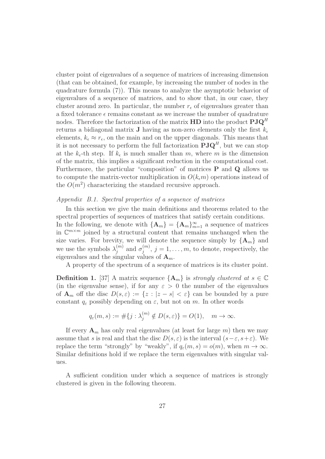cluster point of eigenvalues of a sequence of matrices of increasing dimension (that can be obtained, for example, by increasing the number of nodes in the quadrature formula (7)). This means to analyze the asymptotic behavior of eigenvalues of a sequence of matrices, and to show that, in our case, they cluster around zero. In particular, the number  $r_{\epsilon}$  of eigenvalues greater than a fixed tolerance  $\epsilon$  remains constant as we increase the number of quadrature nodes. Therefore the factorization of the matrix  $HD$  into the product  $PJQ<sup>H</sup>$ returns a bidiagonal matrix **J** having as non-zero elements only the first  $k_{\epsilon}$ elements,  $k_{\epsilon} \approx r_{\epsilon}$ , on the main and on the upper diagonals. This means that it is not necessary to perform the full factorization  $\mathbf{P} \mathbf{J} \mathbf{Q}^H$ , but we can stop at the  $k_{\epsilon}$ -th step. If  $k_{\epsilon}$  is much smaller than m, where m is the dimension of the matrix, this implies a significant reduction in the computational cost. Furthermore, the particular "composition" of matrices P and Q allows us to compute the matrix-vector multiplication in  $O(k<sub>\epsilon</sub>m)$  operations instead of the  $O(m^2)$  characterizing the standard recursive approach.

# *Appendix B.1. Spectral properties of a sequence of matrices*

In this section we give the main definitions and theorems related to the spectral properties of sequences of matrices that satisfy certain conditions. In the following, we denote with  ${A_m} = {A_m}_{m=1}^\infty$  a sequence of matrices in  $\mathbb{C}^{m \times m}$  joined by a structural content that remains unchanged when the size varies. For brevity, we will denote the sequence simply by  $\{A_m\}$  and we use the symbols  $\lambda_i^{(m)}$  $j^{(m)}$  and  $\sigma_j^{(m)}$  $j^{(m)}$ ,  $j = 1, \ldots, m$ , to denote, respectively, the eigenvalues and the singular values of  $A_m$ .

A property of the spectrum of a sequence of matrices is its cluster point.

**Definition 1.** [37] A matrix sequence  $\{A_m\}$  is *strongly clustered at*  $s \in \mathbb{C}$ (in the eigenvalue sense), if for any  $\varepsilon > 0$  the number of the eigenvalues of  $\mathbf{A}_m$  off the disc  $D(s,\varepsilon) := \{z : |z-s| < \varepsilon\}$  can be bounded by a pure constant  $q_{\varepsilon}$  possibly depending on  $\varepsilon$ , but not on m. In other words

$$
q_{\varepsilon}(m, s) := \# \{ j : \lambda_j^{(m)} \notin D(s, \varepsilon) \} = O(1), \quad m \to \infty.
$$

If every  $A_m$  has only real eigenvalues (at least for large m) then we may assume that s is real and that the disc  $D(s, \varepsilon)$  is the interval  $(s-\varepsilon, s+\varepsilon)$ . We replace the term "strongly" by "weakly", if  $q_{\varepsilon}(m, s) = o(m)$ , when  $m \to \infty$ . Similar definitions hold if we replace the term eigenvalues with singular values.

A sufficient condition under which a sequence of matrices is strongly clustered is given in the following theorem.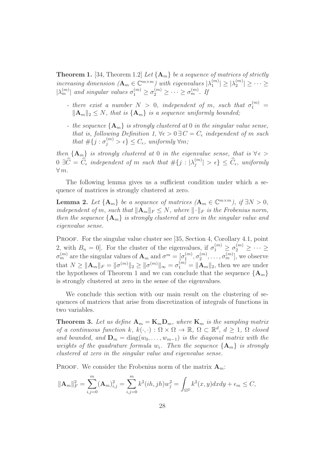**Theorem 1.** [34, Theorem 1.2] *Let*  $\{A_m\}$  *be a sequence of matrices of strictly increasing dimension* ( $\mathbf{A}_m \in \mathbb{C}^{m \times m}$ ) with eigenvalues  $|\lambda_1^{(m)}\rangle$  $|_{1}^{(m)}| \geq |\lambda_{2}^{(m)}|$  $\binom{m}{2} \geq \cdots \geq$  $|\lambda_m^{(m)}|$  and singular values  $\sigma_1^{(m)} \ge \sigma_2^{(m)} \ge \cdots \ge \sigma_m^{(m)}$ . If

- *there exist a number*  $N > 0$ *, independent of m, such that*  $\sigma_1^{(m)} =$  $||\mathbf{A}_m||_2 \leq N$ , that is  $\{\mathbf{A}_m\}$  is a sequence uniformly bounded;
- *the sequence* {Am} *is strongly clustered at* 0 *in the singular value sense, that is, following Definition 1,*  $\forall \epsilon > 0 \, \exists C = C_{\epsilon}$  *independent of m such*  $that \# \{j : \sigma_j^{(m)} > \epsilon \} \leq C_{\epsilon}$ , uniformly  $\forall m$ ;

*then*  ${A_m}$  *is strongly clustered at* 0 *in the eigenvalue sense, that is*  $\forall \epsilon$  $0 \ \exists \widehat{C} = \widehat{C}_{\epsilon}$  *independent of m such that*  $\#\{j : |\lambda_j^{(m)}|$  $\left|\sum_{j=1}^{m} \epsilon\right| > \epsilon$   $\leq C_{\epsilon}$ , uniformly ∀ m*.*

The following lemma gives us a sufficient condition under which a sequence of matrices is strongly clustered at zero.

Lemma 2. Let  ${A_m}$  *be a sequence of matrices*  $(A_m \in \mathbb{C}^{m \times m})$ , if  $\exists N > 0$ , *independent of* m, such that  $||A_m||_F \leq N$ , where  $||\cdot||_F$  is the Frobenius norm, *then the sequence*  ${A_m}$  *is strongly clustered at zero in the singular value and eigenvalue sense.*

PROOF. For the singular value cluster see [35, Section 4, Corollary 4.1, point 2, with  $B_n = 0$ . For the cluster of the eigenvalues, if  $\sigma_1^{(m)} \geq \sigma_2^{(m)} \geq \cdots \geq$  $\sigma_m^{(m)}$  are the singular values of  $\mathbf{A}_m$  and  $\sigma^m = [\sigma_1^{(m)}]$  $\mathfrak{a}_{1}^{(m)},\mathfrak{\sigma}_{2}^{(m)}$  $\binom{m}{2}, \ldots, \sigma_m^{(m)}$ , we observe that  $N \ge ||A_m||_F = ||\sigma^{(m)}||_2 \ge ||\sigma^{(m)}||_{\infty} = \sigma_1^{(m)} = ||A_m||_2$ , then we are under the hypotheses of Theorem 1 and we can conclude that the sequence  ${A_m}$ is strongly clustered at zero in the sense of the eigenvalues.

We conclude this section with our main result on the clustering of sequences of matrices that arise from discretization of integrals of functions in two variables.

**Theorem 3.** Let us define  $A_m = K_m D_m$ , where  $K_m$  is the sampling matrix *of a continuous function*  $k, k(\cdot, \cdot) : \Omega \times \Omega \to \mathbb{R}, \Omega \subset \mathbb{R}^d, d \geq 1, \Omega$  *closed* and bounded, and  $\mathbf{D}_m = \text{diag}(w_0, \ldots, w_{m-1})$  *is the diagonal matrix with the weights of the quadrature formula*  $w_i$ *. Then the sequence*  $\{A_m\}$  *is strongly clustered at zero in the singular value and eigenvalue sense.*

**PROOF.** We consider the Frobenius norm of the matrix  $A_m$ :

$$
\|\mathbf{A}_{m}\|_{F}^{2} = \sum_{i,j=0}^{m} (\mathbf{A}_{m})_{i,j}^{2} = \sum_{i,j=0}^{m} k^{2} (ih, jh) w_{j}^{2} = \int_{\Omega^{2}} k^{2}(x, y) dx dy + \epsilon_{m} \le C,
$$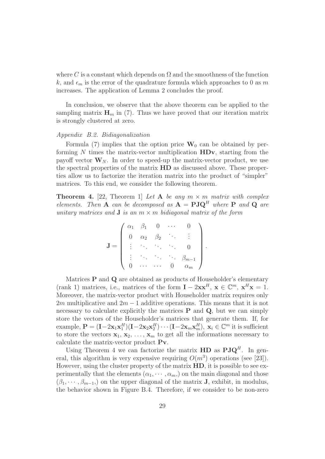where C is a constant which depends on  $\Omega$  and the smoothness of the function k, and  $\epsilon_m$  is the error of the quadrature formula which approaches to 0 as m increases. The application of Lemma 2 concludes the proof.

In conclusion, we observe that the above theorem can be applied to the sampling matrix  $\mathbf{H}_m$  in (7). Thus we have proved that our iteration matrix is strongly clustered at zero.

#### *Appendix B.2. Bidiagonalization*

Formula (7) implies that the option price  $W_0$  can be obtained by performing  $N$  times the matrix-vector multiplication  $HDv$ , starting from the payoff vector  $\mathbf{W}_N$ . In order to speed-up the matrix-vector product, we use the spectral properties of the matrix HD as discussed above. These properties allow us to factorize the iteration matrix into the product of "simpler" matrices. To this end, we consider the following theorem.

**Theorem 4.** [22, Theorem 1] Let **A** be any  $m \times m$  matrix with complex *elements. Then* **A** *can be decomposed as*  $\mathbf{A} = \mathbf{P} \mathbf{J} \mathbf{Q}^H$  *where* **P** *and* **Q** *are unitary matrices and* **J** *is an*  $m \times m$  *bidiagonal matrix of the form* 

$$
\mathbf{J} = \left( \begin{array}{cccc} \alpha_1 & \beta_1 & 0 & \cdots & 0 \\ 0 & \alpha_2 & \beta_2 & \ddots & \vdots \\ \vdots & \ddots & \ddots & \ddots & 0 \\ \vdots & \ddots & \ddots & \ddots & \beta_{m-1} \\ 0 & \cdots & \cdots & 0 & \alpha_m \end{array} \right)
$$

.

Matrices  $P$  and  $Q$  are obtained as products of Householder's elementary (rank 1) matrices, i.e., matrices of the form  $I - 2\mathbf{x} \mathbf{x}^H$ ,  $\mathbf{x} \in \mathbb{C}^m$ ,  $\mathbf{x}^H \mathbf{x} = 1$ . Moreover, the matrix-vector product with Householder matrix requires only 2m multiplicative and 2m − 1 additive operations. This means that it is not necessary to calculate explicitly the matrices  $P$  and  $Q$ , but we can simply store the vectors of the Householder's matrices that generate them. If, for example,  $\mathbf{P} = (\mathbf{I} - 2\mathbf{x}_1 \mathbf{x}_1^H)(\mathbf{I} - 2\mathbf{x}_2 \mathbf{x}_2^H) \cdots (\mathbf{I} - 2\mathbf{x}_m \mathbf{x}_m^H), \mathbf{x}_i \in \mathbb{C}^m$  it is sufficient to store the vectors  $x_1, x_2, \ldots, x_m$  to get all the informations necessary to calculate the matrix-vector product Pv.

Using Theorem 4 we can factorize the matrix  $\mathbf{HD}$  as  $\mathbf{PJQ}^H$ . In general, this algorithm is very expensive requiring  $O(m^3)$  operations (see [23]). However, using the cluster property of the matrix HD, it is possible to see experimentally that the elements  $(\alpha_1, \dots, \alpha_m)$  on the main diagonal and those  $(\beta_1, \dots, \beta_{m-1})$  on the upper diagonal of the matrix **J**, exhibit, in modulus, the behavior shown in Figure B.4. Therefore, if we consider to be non-zero